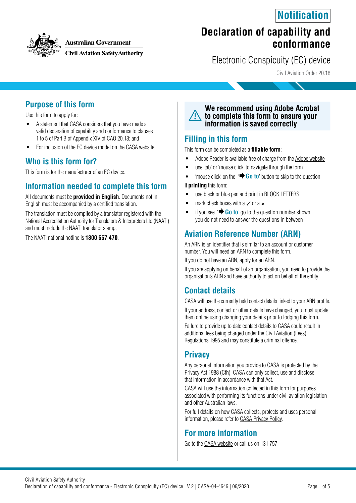



#### **Australian Government**

**Civil Aviation Safety Authority** 

# **Declaration of capability and conformance**

Electronic Conspicuity (EC) device

Civil Aviation Order 20.18

#### **Purpose of this form**

Use this form to apply for:

- A statement that CASA considers that you have made a valid declaration of capability and conformance to clauses [1 to 5 of Part B of Appendix XIV of CAO 20.18;](https://www.legislation.gov.au/Series/F2014L01743) and
- For inclusion of the EC device model on the CASA website.

#### **Who is this form for?**

This form is for the manufacturer of an EC device.

#### **Information needed to complete this form**

All documents must be **provided in English**. Documents not in English must be accompanied by a certified translation.

The translation must be compiled by a translator registered with the [National Accreditation Authority for Translators & Interpreters Ltd \(NAATI\)](https://www.naati.com.au/) and must include the NAATI translator stamp.

The NAATI national hotline is **1300 557 470**.



#### **Filling in this form**

This form can be completed as a **fillable form**:

- Adobe Reader is available free of charge from the [Adobe website](https://get.adobe.com/reader/)
- use 'tab' or 'mouse click' to navigate through the form
- 'mouse click' on the '**+ Go to**' button to skip to the question

If **printing** this form:

- use black or blue pen and print in BLOCK LETTERS
- mark check boxes with a  $\times$  or a  $\times$
- if you see  $\rightarrow$  **Go to**' go to the question number shown, you do not need to answer the questions in between

## **Aviation Reference Number (ARN)**

An ARN is an identifier that is similar to an account or customer number. You will need an ARN to complete this form.

If you do not have an ARN, [apply for an ARN](https://www.casa.gov.au/licences-and-certification/individual-licensing/aviation-reference-numbers).

If you are applying on behalf of an organisation, you need to provide the organisation's ARN and have authority to act on behalf of the entity.

### **Contact details**

CASA will use the currently held contact details linked to your ARN profile. If your address, contact or other details have changed, you must update

them online using [changing your details](https://www.casa.gov.au/licences-and-certification/individual-licensing/licence-information/changing-your-details) prior to lodging this form. Failure to provide up to date contact details to CASA could result in

additional fees being charged under the Civil Aviation (Fees) Regulations 1995 and may constitute a criminal offence.

#### **Privacy**

Any personal information you provide to CASA is protected by the Privacy Act 1988 (Cth). CASA can only collect, use and disclose that information in accordance with that Act.

CASA will use the information collected in this form for purposes associated with performing its functions under civil aviation legislation and other Australian laws.

For full details on how CASA collects, protects and uses personal information, please refer to [CASA Privacy Policy](http://www.casa.gov.au/privacy-policy).

### **For more information**

Go to the [CASA website](http://www.casa.gov.au) or call us on 131 757.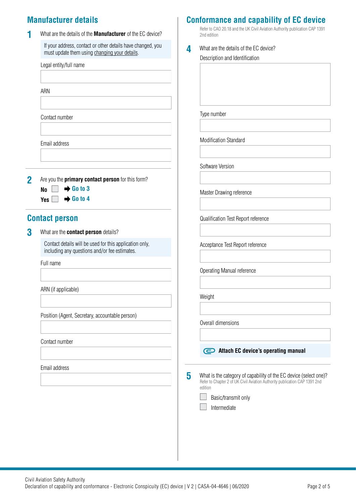## **Manufacturer details**

|   | What are the details of the <b>Manufacturer</b> of the EC device?                                                            |   | Refer to CAO 20.18 and the UK Civil Aviation Authority publication CAP 1391<br>2nd edition                                                                 |
|---|------------------------------------------------------------------------------------------------------------------------------|---|------------------------------------------------------------------------------------------------------------------------------------------------------------|
|   | If your address, contact or other details have changed, you<br>must update them using changing your details.                 | 4 | What are the details of the EC device?<br>Description and Identification                                                                                   |
|   | Legal entity/full name                                                                                                       |   |                                                                                                                                                            |
|   | ARN                                                                                                                          |   |                                                                                                                                                            |
|   | Contact number                                                                                                               |   | Type number                                                                                                                                                |
|   | Email address                                                                                                                |   | <b>Modification Standard</b>                                                                                                                               |
|   |                                                                                                                              |   | Software Version                                                                                                                                           |
| 2 | Are you the primary contact person for this form?<br>$\rightarrow$ Go to 3<br>N <sub>0</sub><br>$\rightarrow$ Go to 4<br>Yes |   | Master Drawing reference                                                                                                                                   |
|   | <b>Contact person</b>                                                                                                        |   | Qualification Test Report reference                                                                                                                        |
| 3 | What are the contact person details?                                                                                         |   |                                                                                                                                                            |
|   | Contact details will be used for this application only,<br>including any questions and/or fee estimates.                     |   | Acceptance Test Report reference                                                                                                                           |
|   | Full name                                                                                                                    |   | Operating Manual reference                                                                                                                                 |
|   | ARN (if applicable)                                                                                                          |   | Weight                                                                                                                                                     |
|   | Position (Agent, Secretary, accountable person)                                                                              |   |                                                                                                                                                            |
|   |                                                                                                                              |   | Overall dimensions                                                                                                                                         |
|   | Contact number                                                                                                               |   | Attach EC device's operating manual                                                                                                                        |
|   | Email address                                                                                                                |   |                                                                                                                                                            |
|   |                                                                                                                              | 5 | What is the category of capability of the EC device (select one)?<br>Refer to Chapter 2 of UK Civil Aviation Authority publication CAP 1391 2nd<br>edition |
|   |                                                                                                                              |   | Basic/transmit only<br>Intermediate                                                                                                                        |
|   |                                                                                                                              |   |                                                                                                                                                            |
|   |                                                                                                                              |   |                                                                                                                                                            |

## **Conformance and capability of EC device**

I the UK Civil Aviation Authority publication CAP 1391

Civil Aviation Safety Authority<br>Declaration of capability and conformance - Electronic Conspicuity (EC) device | V 2 | CASA-04-4646 | 06/2020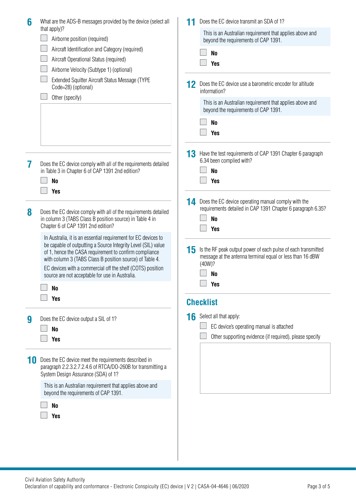| that apply)?<br>This is an Australian requirement that applies above and<br>Airborne position (required)<br>beyond the requirements of CAP 1391.<br>Aircraft Identification and Category (required)<br>N <sub>0</sub><br>Aircraft Operational Status (required)<br><b>Yes</b><br>Airborne Velocity (Subtype 1) (optional)<br>Extended Squitter Aircraft Status Message (TYPE                                                                                                                                               |  |
|----------------------------------------------------------------------------------------------------------------------------------------------------------------------------------------------------------------------------------------------------------------------------------------------------------------------------------------------------------------------------------------------------------------------------------------------------------------------------------------------------------------------------|--|
|                                                                                                                                                                                                                                                                                                                                                                                                                                                                                                                            |  |
|                                                                                                                                                                                                                                                                                                                                                                                                                                                                                                                            |  |
|                                                                                                                                                                                                                                                                                                                                                                                                                                                                                                                            |  |
|                                                                                                                                                                                                                                                                                                                                                                                                                                                                                                                            |  |
|                                                                                                                                                                                                                                                                                                                                                                                                                                                                                                                            |  |
| Does the EC device use a barometric encoder for altitude<br>12<br>Code=28) (optional)<br>information?                                                                                                                                                                                                                                                                                                                                                                                                                      |  |
| Other (specify)<br>This is an Australian requirement that applies above and<br>beyond the requirements of CAP 1391.                                                                                                                                                                                                                                                                                                                                                                                                        |  |
| N <sub>0</sub>                                                                                                                                                                                                                                                                                                                                                                                                                                                                                                             |  |
| <b>Yes</b>                                                                                                                                                                                                                                                                                                                                                                                                                                                                                                                 |  |
| 13<br>Have the test requirements of CAP 1391 Chapter 6 paragraph<br>6.34 been complied with?<br>Does the EC device comply with all of the requirements detailed<br>7<br>N <sub>0</sub><br>in Table 3 in Chapter 6 of CAP 1391 2nd edition?<br><b>Yes</b><br>N <sub>0</sub>                                                                                                                                                                                                                                                 |  |
| <b>Yes</b>                                                                                                                                                                                                                                                                                                                                                                                                                                                                                                                 |  |
| Does the EC device operating manual comply with the<br>14<br>requirements detailed in CAP 1391 Chapter 6 paragraph 6.35?<br>8<br>Does the EC device comply with all of the requirements detailed<br>N <sub>0</sub><br>in column 3 (TABS Class B position source) in Table 4 in<br>Chapter 6 of CAP 1391 2nd edition?<br><b>Yes</b>                                                                                                                                                                                         |  |
| In Australia, it is an essential requirement for EC devices to<br>be capable of outputting a Source Integrity Level (SIL) value<br>15<br>Is the RF peak output power of each pulse of each transmitted<br>of 1, hence the CASA requirement to confirm compliance<br>message at the antenna terminal equal or less than 16 dBW<br>with column 3 (TABS Class B position source) of Table 4.<br>(40W)?<br>EC devices with a commercial off the shelf (COTS) position<br>No<br>source are not acceptable for use in Australia. |  |
| <b>Yes</b><br>No                                                                                                                                                                                                                                                                                                                                                                                                                                                                                                           |  |
| <b>Yes</b><br><b>Checklist</b>                                                                                                                                                                                                                                                                                                                                                                                                                                                                                             |  |
| Select all that apply:<br>16<br>Does the EC device output a SIL of 1?<br>9                                                                                                                                                                                                                                                                                                                                                                                                                                                 |  |
| EC device's operating manual is attached<br>N <sub>o</sub>                                                                                                                                                                                                                                                                                                                                                                                                                                                                 |  |
| Other supporting evidence (if required), please specify<br><b>Yes</b>                                                                                                                                                                                                                                                                                                                                                                                                                                                      |  |
|                                                                                                                                                                                                                                                                                                                                                                                                                                                                                                                            |  |
| Does the EC device meet the requirements described in<br>paragraph 2.2.3.2.7.2.4.6 of RTCA/DO-260B for transmitting a<br>System Design Assurance (SDA) of 1?                                                                                                                                                                                                                                                                                                                                                               |  |
| This is an Australian requirement that applies above and<br>beyond the requirements of CAP 1391.                                                                                                                                                                                                                                                                                                                                                                                                                           |  |
| N <sub>0</sub><br><b>Yes</b>                                                                                                                                                                                                                                                                                                                                                                                                                                                                                               |  |
|                                                                                                                                                                                                                                                                                                                                                                                                                                                                                                                            |  |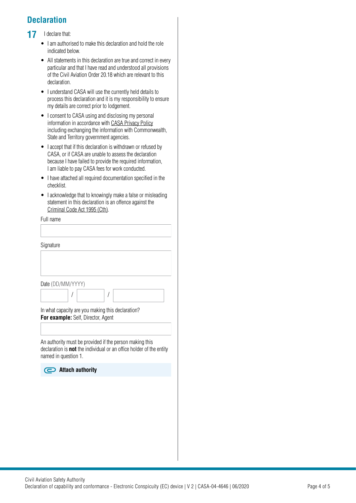# **Declaration**

#### 17 I declare that:

- I am authorised to make this declaration and hold the role indicated below.
- All statements in this declaration are true and correct in every particular and that I have read and understood all provisions of the Civil Aviation Order 20.18 which are relevant to this declaration.
- I understand CASA will use the currently held details to process this declaration and it is my responsibility to ensure my details are correct prior to lodgement.
- I consent to CASA using and disclosing my personal information in accordance with [CASA Privacy Policy](http://www.casa.gov.au/privacy-policy) including exchanging the information with Commonwealth, State and Territory government agencies.
- I accept that if this declaration is withdrawn or refused by CASA, or if CASA are unable to assess the declaration because I have failed to provide the required information, I am liable to pay CASA fees for work conducted.
- I have attached all required documentation specified in the checklist.
- I acknowledge that to knowingly make a false or misleading statement in this declaration is an offence against the [Criminal Code Act 1995 \(Cth\)](https://www.legislation.gov.au/Details/C2018C00244).

| Statement in this decidedly is an onence against the<br>Criminal Code Act 1995 (Cth).                                                                         |
|---------------------------------------------------------------------------------------------------------------------------------------------------------------|
| Full name                                                                                                                                                     |
|                                                                                                                                                               |
| Signature                                                                                                                                                     |
|                                                                                                                                                               |
|                                                                                                                                                               |
| Date (DD/MM/YYYY)                                                                                                                                             |
|                                                                                                                                                               |
| In what capacity are you making this declaration?                                                                                                             |
| For example: Self, Director, Agent                                                                                                                            |
|                                                                                                                                                               |
| An authority must be provided if the person making this<br>declaration is <b>not</b> the individual or an office holder of the entity<br>named in question 1. |
| $\supset$ Attach authority                                                                                                                                    |